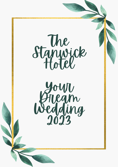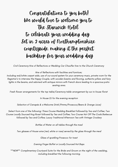# Congratulations to you both! We would love to welcome you to The Stanwick Hotel to celebrate your wedding day. Set in 2 acres of Northamptonshire countryside, making it the perfect backdrop for your wedding day

Civil Ceremony Hire of Reflections or Wedding Car Chauffer hire to the Church Ceremony

Hire of Reflections with facilities and furniture;

Including red/white carpet aisle, use of our sound system for your ceremony music, private room for the Registrar's to interview the Happy Couple, with wooden beams and flooring, authentic pillars and fairy lights in the beams, and adorned with antique mirrors with French doors leading to a spacious patio seating area.

Fresh flower arrangements for the top table/Ceremony table arrangement by our in-house florist

In House DJ for the evening reception

Selection of Canapés & a Welcome Drink (Pimms/Prosecco/Beers & Orange Juice)

Select from one of the following: Three Course Wedding Breakfast followed by Tea and Coffee; Two Course Locally Sourced Hog Roast followed by Tea and Coffee; Two Course Hot Off The Coals Barbecue followed by Tea and Coffee; Luxury Traditional Afternoon Tea with Vintage Crockery

Bottles of Water on all tables through the meal

Two glasses of House wine (red, white or rose) served by the glass through the meal

Glass of sparkling Prosecco for toast

Evening Finger Buffet or Locally Sourced Hot Baps

\*\*NEW\*\* Complimentary Courtyard Suite for the Bride and Groom on the night of the wedding, including breakfast the following morning.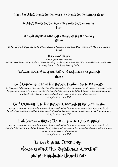#### Min. of 60 Adult Guests for the Day & 100 Guests for the evening **£**8,499

#### 80 Adult Guests for the day & 120 guests for the evening **£**9,999

#### 100 Adult Guests for the day & 150 guests for the evening **£**10,999

Children (Age 2-12 years) *£*30.00 which includes a Welcome Drink, Three Course Children's Menu and Evening Buffet

#### Extra Adult Guests

*£*95.00 per person includes Welcome Drink and Canapés, Three Course Wedding breakfast, with Tea and Coffee, Two Glasses of House Wine, Sparkling Prosecco for Toast, Evening Buffet

#### Exclusive Venue Hire of the full hotel bedrooms and grounds **£**6,500

#### Civil Ceremony Hire of The Garden Pavilion (up to 130 guests)

Including red/white carpet aisle way stunning white chairs decorated with wicker hearts, use of our sound system for your ceremony music, private room for the Registrar's to interview the Bride & Groom....Our beautiful garden pavilion is set in its own private paddock, with stunning views everywhere you turn - Supplement Fee *£*650

#### Civil Ceremony Hire The Garden Conservatory (up to 80 guests)

Including red/white carpet aisle way, use of our sound system for your ceremony music, private room for the Registrar's to interview the Bride & Groom, with bi-folding doors which open to our stunning manicured gardens Supplement Fee *£*750

#### Civil Ceremony Hire of The Dining Room (up to 18 guests)

Including red/white carpet aisle way, use of our sound system for your ceremony music, private room for the Registrar's to interview the Bride & Groom, lovely intimate private room, with French doors leading out to a private garden area, perfect for photographs Supplement Fee *£*350

> To book your Ceremony, please contact the Registrar's direct at [www.yourdaynorthants.com](http://www.yourdaynorthants.com/)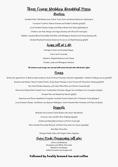## Three Course Wedding Breakfast Menu [S](http://www.yourdaynorthants.com/)tarters

Sautéed Garlic Wild [Mushrooms,](http://www.yourdaynorthants.com/) Artisan Toast, Dijon and Brandy Reduction (gfa)(vgna)

[Courtyard](http://www.yourdaynorthants.com/) Cocktail, Salmon Gravlax and Grilled Ciabatta (gfa)(df)

Local Smoked Cheese, Grape and Walnut Mixed Leaf Salad [\(gf\)\(dfa\)\(nut\)](http://www.yourdaynorthants.com/)

Chicken Liver Pate, Mango and Sage [Chutney](http://www.yourdaynorthants.com/) with Olive Oil Toast (gfa)

Bubble n Squeak, Black Garlic Belly Pork Bites with [Wholegrain](http://www.yourdaynorthants.com/) Mustard and Honey Dressing (df)

Smoked Mackerel Roulade, [Rosemary](http://www.yourdaynorthants.com/) Focaccia and Beet Dressing (gf)(df)

#### Soups <u>(all gf & df)</u>

[Heritage](http://www.yourdaynorthants.com/) Tomato and Smoked Pepper Carrot and [Coriander](http://www.yourdaynorthants.com/) Balsamic Glazed [Mushroom](http://www.yourdaynorthants.com/) and Thym[e](http://www.yourdaynorthants.com/) Chicken, Leek and [Wholegrain](http://www.yourdaynorthants.com/) Mustard

#### All starters and soups are served with warm bread rolls with butter (gfa)

#### Mains

28 Day Dry Aged Sirloin of Beef (cooked medium), Duck Fat Roast Potatoes, Panache [Vegetables,](http://www.yourdaynorthants.com/) Yorkshire Pudding and Jus (gfa)(df)

Braised Lamb Breast, Thyme Fondant Potato, Honey Roast Parsnips, Carrot Puree with [Chimichurri](http://www.yourdaynorthants.com/) Dressing (gf)(df)

Pan Fried Chicken Supreme, with Leek, White Wine and Chorizo [Cassoulet](http://www.yourdaynorthants.com/) (gf)

Almond and Mixed Herb Crusted Trout, Crushed New [Potatoes,](http://www.yourdaynorthants.com/) Mange Tout and Baby Corn Fricassee (nut)(gfa)

[Smoked](http://www.yourdaynorthants.com/) Fish and Minted Pea Risotto (gf)(df)

Rosemary and Thyme [Hasselback](http://www.yourdaynorthants.com/) Courgette, Sundried Tomato Salad with a Parmesan Crisp (gf)(vgna)

Local Smoked Cheese, [Cauliflower](http://www.yourdaynorthants.com/) and Spinach Wellington, Garlic Roasted New Potatoes with Pesto (nut)(dfa)

#### Desserts

Rhubarb and Custard Crème Brulee with Lemon [Shortbread](http://www.yourdaynorthants.com/)

[Coconut,](http://www.yourdaynorthants.com/) Lime and Mint Rice Pudding (vgn)(gf)

Vanilla and Mixed Berry [Pavlova](http://www.yourdaynorthants.com/) with Port Coulis (gf)

Warm Double Chocolate Brownie with Mint [Chocolate](http://www.yourdaynorthants.com/) Ice Cream (vgna)(gf)

[Banoffee](http://www.yourdaynorthants.com/) Choux Bun

Orange Drizzle Cake with Ginger Crème [Anglaise](http://www.yourdaynorthants.com/)

#### Home Made [Cheesecakes](http://www.yourdaynorthants.com/) (all gfa)

Lemon and [Blueberry](http://www.yourdaynorthants.com/) [Strawberry](http://www.yourdaynorthants.com/) and White Chocolate [Mandarin](http://www.yourdaynorthants.com/) and Mango Salted Caramel and [Honeycomb](http://www.yourdaynorthants.com/)

#### Followed by freshly brewed tea and coffee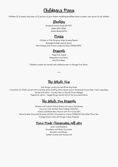Children's Meny

Children (2-12 years) may have a 1⁄2 portion of your chosen wedding breakfast menu or select one option for all children

### Starters

Garlic Bread (GFA) Roasted Tomato Soup (DF/GF) Melon (GF/VGN)

#### Mains

Chicken or Fish Goujons, chips & peas/beans Sausage & Mash, peas & gravy Mini Cheese and Tomato Ciabatta Pizza (VGNA/GFA)

#### Desserts

Fresh Fruit Salad Neapolitan Ice Cream Mini Eton Mess

Children's meals are served with a Blackcurrant or Orange Fruit Shoot

\*\*\*

### The Whole Hog

Free Range Locally sourced Whole Hog Roast

Carved by our Chef's, served with Crackling, Herby Stuffing, Warm Apple Sauce, Homemade House Slaw, Fresh Large Baps Served with either – Chunky Chips or Spiced Potato Wedges Vegetarian option – Veggie Burger served with all the accompaniments

### The Whole Hog Desserts

Rhubarb and Custard Crème Brulee with Lemon Shortbread Coconut, Lime and Mint Rice Pudding (VGN/GF) Vanilla and Mixed Berry Pavlova with Port Coulis (GF) Warm Double Chocolate Brownie with Mint Chocolate Ice Cream (VGNA/GF) Banoffee Choux Bun Orange Drizzle Cake with Ginger Crème Anglaise

### Home Made Cheesecakes (all gfa)

Lemon and Blueberry Strawberry and White Chocolate Mandarin and Mango Salted Caramel and Honeycomb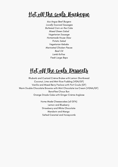# Hot off the coals Barbeque

6oz Angus Beef Burgers Locally Sourced Sausages Buttered Corn on the Cobs Mixed Green Salad Vegetarian Sausage Homemade House Slaw Potato Salad Vegetarian Kebabs Marinated Chicken Pieces Basil Oil Lamb Koftas Fresh Large Baps

## H<u>ot off the coals Dessents</u>

Rhubarb and Custard Crème Brulee with Lemon Shortbread Coconut, Lime and Mint Rice Pudding (VGN/GF) Vanilla and Mixed Berry Pavlova with Port Coulis (GF) Warm Double Chocolate Brownie with Mint Chocolate Ice Cream (VGNA/GF) Banoffee Choux Bun Orange Drizzle Cake with Ginger Crème Anglaise

> Home Made Cheesecakes (all GFA) Lemon and Blueberry Strawberry and White Chocolate Mandarin and Mango Salted Caramel and Honeycomb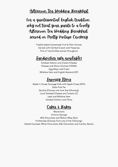### Afternoon Tea Wedding Breakfast

For a quintessential English tradition. why not treat your guests to a lovely Afternoon Tea Wedding Breakfast served on Pretty Vintage Crockery

> Freshly baked homemade Fruit & Plain Scones Served with Clotted Cream and Preserves Pots of Tea/Coffee served throughout

## Sandwiches (gfa available)

Smoked Salmon and Cream Cheese Cheese and Onion Chutney (VGNA) Egg Mayo and Cress Wiltshire Ham and English Mustard (DF)

## Savoy Vy Items

Made In House Sausage Rolls with Apple Puree (DFA) Gala Pork Pie Quiche (Choose one from the following): Local Smoked Cheese and Tomato (V) Leek and Wiltshire Ham Smoked Salmon and Chive

Cakes & Bakes

Macaroons Victoria Sponge Milk Chocolate and Walnut Whip (Nut) Profiteroles (Choose from one of the following): Salted Caramel; White Chocolate; Milk Chocolate and Vanilla; Mocha